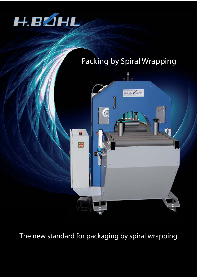

# Packing by Spiral Wrapping



The new standard for packaging by spiral wrapping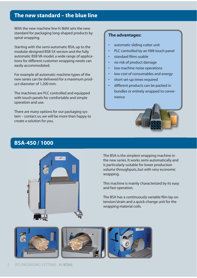### **The new standard – the blue line**

With the new machine line H. Böhl sets the new standard for packaging long-shaped products by spiral wrapping.

Starting with the semi-automatic BSA, up to the modular designed BSB SX version and the fully automatic BSB VA model, a wide range of applications for different customer wrapping needs can easily accommodated.

For example all automatic machine types of the new series can be delivered for a maximum product diameter of 1,200 mm.

The machines are PLC controlled and equipped with touch panels for comfortable and simple operation and use.

There are many options for our packaging system – contact us, we will be more than happy to create a solution for you.

### **The advantages:**

- automatic sliding cutter unit
- PLC controlled by an HMI touch panel
- standard films usable
- no risk of product damage
- low machine noise operations
- low cost of consumables and energy
- short set-up times required
- different products can be packed in bundles or entirely wrapped to convenience



### **BSA-450 / 1000**



The BSA is the simplest wrapping machine in the new series. It works semi-automatically and is particularly suitable for lower production volume throughputs, but with very economic wrapping.

This machine is mainly characterized by its easy and fast operation.

The BSA has a continuously variable film lay-on tension/strain and a quick-change unit for the wrapping material coils.

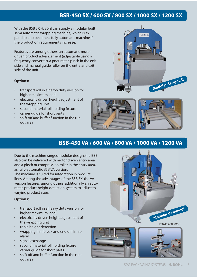## **BSB-450 SX / 600 SX / 800 SX / 1000 SX / 1200 SX**

a.

With the BSB SX H. Böhl can supply a modular built semi-automatic wrapping machine, which is expandable to become a fully automatic machine if the production requirements increase.

Features are, among others, an automatic motor driven product advancement (adjustable using a frequency converter), a pneumatic pinch in the exit side and manual guide roller on the entry and exit side of the unit.

#### **Options:**

- transport roll in a heavy duty version for higher maximum load
- electrically driven height adjustment of the wrapping unit
- second material roll holding fixture
- carrier guide for short parts
- shift off and buffer function in the runout area



. Î.

 $2256$ 

**Modular designed!**

### **BSB-450 VA / 600 VA / 800 VA / 1000 VA / 1200 VA**

Due to the machine ranges modular design, the BSB also can be delivered with motor driven entry area and a pinch or compression roller in the entry area, as fully-automatic BSB VA version.

The machine is suited for integration in product lines. Among the advantages of the BSB SX, the VA version features, among others, additionally an automatic product height detection system to adjust to varying product sizes.

#### **Options:**

- transport roll in a heavy duty version for higher maximum load
- electrically driven height adjustment of the wrapping unit
- triple height detection
- wrapping film break and end of film roll alarm
- signal exchange
- second material roll holding fixture
- carrier quide for short parts
- shift off and buffer function in the runout area